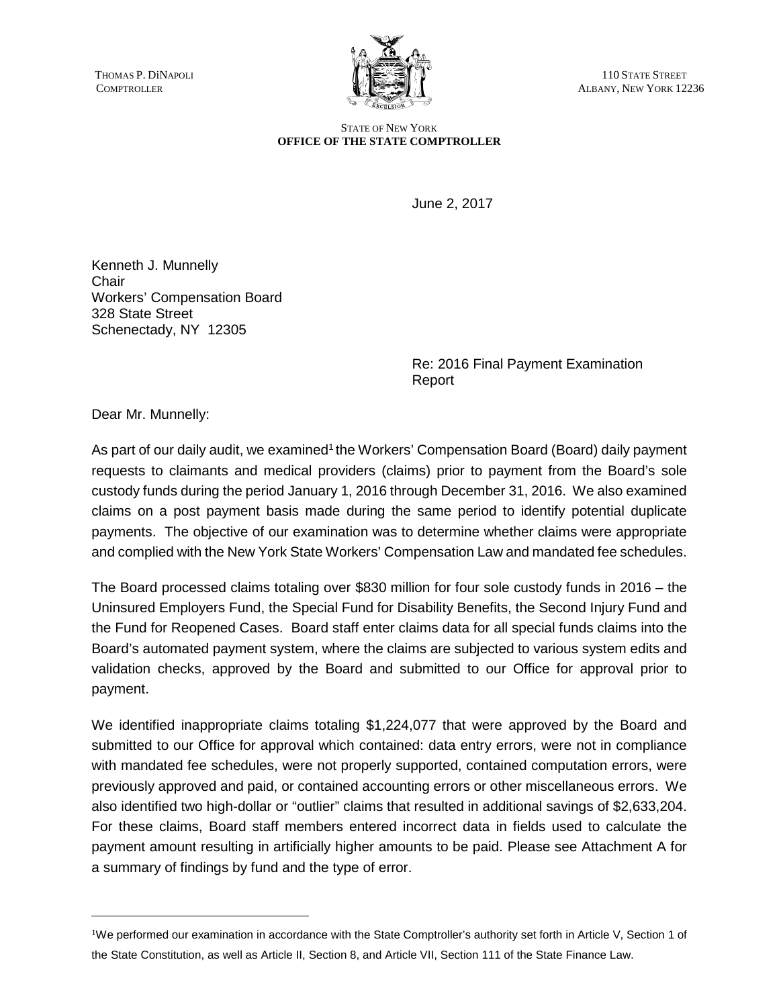

THOMAS P. DINAPOLI (ALBANY, NEW YORK 12) ALBANY, NEW YORK 12236

> STATE OF NEW YORK **OFFICE OF THE STATE COMPTROLLER**

> > June 2, 2017

Kenneth J. Munnelly **Chair** Workers' Compensation Board 328 State Street Schenectady, NY 12305

> Re: 2016 Final Payment Examination Report

Dear Mr. Munnelly:

As part of our daily audit, we examined<sup>1</sup> the Workers' Compensation Board (Board) daily payment requests to claimants and medical providers (claims) prior to payment from the Board's sole custody funds during the period January 1, 2016 through December 31, 2016. We also examined claims on a post payment basis made during the same period to identify potential duplicate payments. The objective of our examination was to determine whether claims were appropriate and complied with the New York State Workers' Compensation Law and mandated fee schedules.

The Board processed claims totaling over \$830 million for four sole custody funds in 2016 – the Uninsured Employers Fund, the Special Fund for Disability Benefits, the Second Injury Fund and the Fund for Reopened Cases. Board staff enter claims data for all special funds claims into the Board's automated payment system, where the claims are subjected to various system edits and validation checks, approved by the Board and submitted to our Office for approval prior to payment.

We identified inappropriate claims totaling \$1,224,077 that were approved by the Board and submitted to our Office for approval which contained: data entry errors, were not in compliance with mandated fee schedules, were not properly supported, contained computation errors, were previously approved and paid, or contained accounting errors or other miscellaneous errors. We also identified two high-dollar or "outlier" claims that resulted in additional savings of \$2,633,204. For these claims, Board staff members entered incorrect data in fields used to calculate the payment amount resulting in artificially higher amounts to be paid. Please see Attachment A for a summary of findings by fund and the type of error.

<sup>1</sup>We performed our examination in accordance with the State Comptroller's authority set forth in Article V, Section 1 of the State Constitution, as well as Article II, Section 8, and Article VII, Section 111 of the State Finance Law.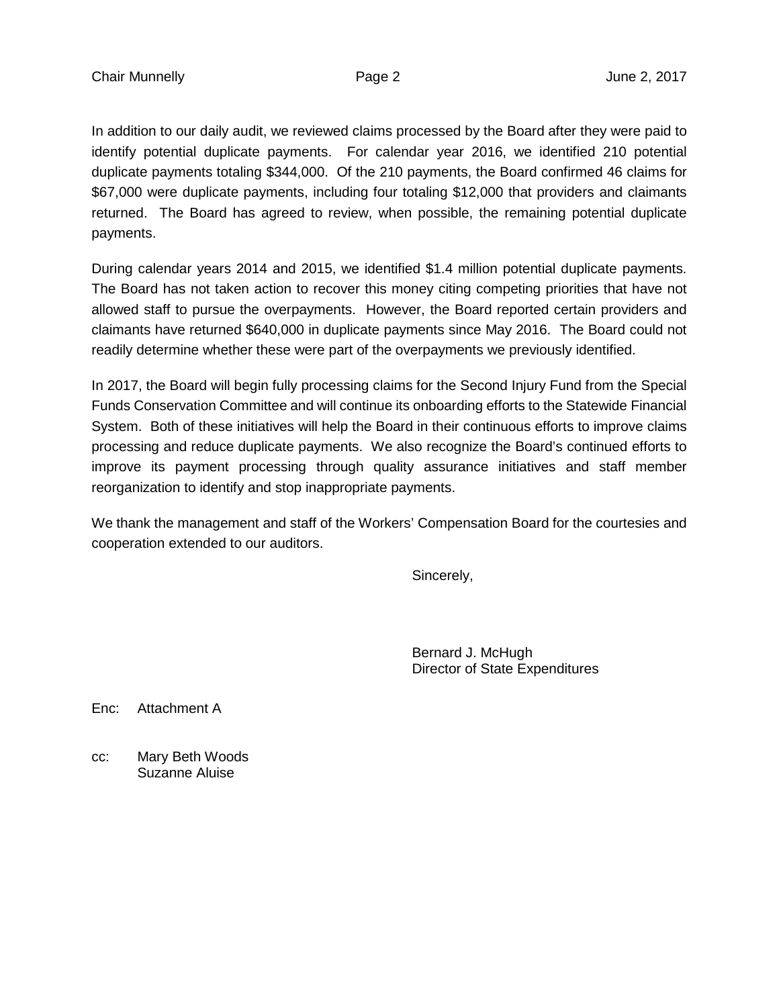In addition to our daily audit, we reviewed claims processed by the Board after they were paid to identify potential duplicate payments. For calendar year 2016, we identified 210 potential duplicate payments totaling \$344,000. Of the 210 payments, the Board confirmed 46 claims for \$67,000 were duplicate payments, including four totaling \$12,000 that providers and claimants returned. The Board has agreed to review, when possible, the remaining potential duplicate payments.

During calendar years 2014 and 2015, we identified \$1.4 million potential duplicate payments. The Board has not taken action to recover this money citing competing priorities that have not allowed staff to pursue the overpayments. However, the Board reported certain providers and claimants have returned \$640,000 in duplicate payments since May 2016. The Board could not readily determine whether these were part of the overpayments we previously identified.

In 2017, the Board will begin fully processing claims for the Second Injury Fund from the Special Funds Conservation Committee and will continue its onboarding efforts to the Statewide Financial System. Both of these initiatives will help the Board in their continuous efforts to improve claims processing and reduce duplicate payments. We also recognize the Board's continued efforts to improve its payment processing through quality assurance initiatives and staff member reorganization to identify and stop inappropriate payments.

We thank the management and staff of the Workers' Compensation Board for the courtesies and cooperation extended to our auditors.

Sincerely,

Bernard J. McHugh Director of State Expenditures

Enc: Attachment A

cc: Mary Beth Woods Suzanne Aluise